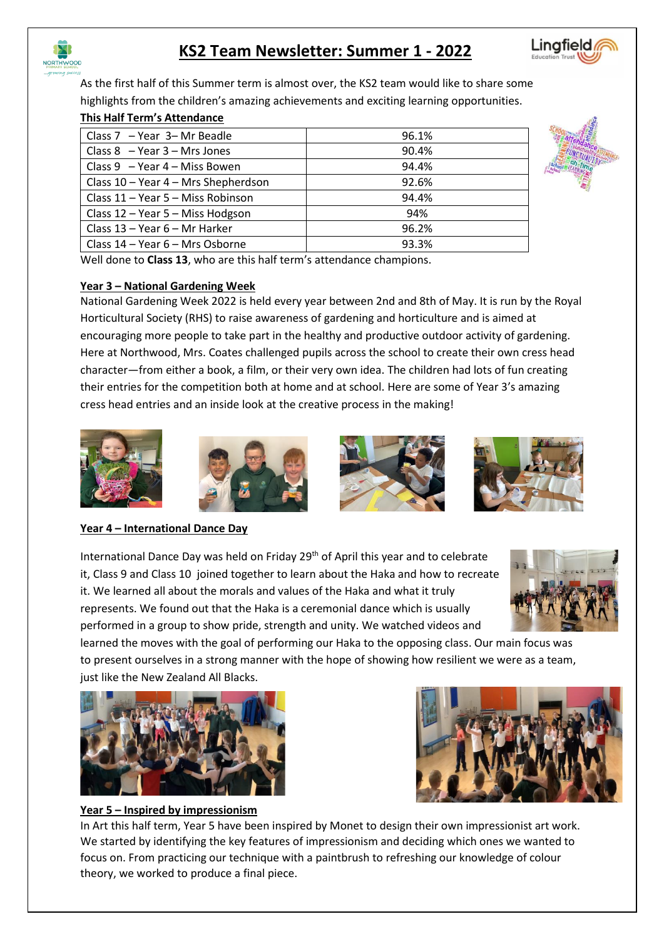

# **KS2 Team Newsletter: Summer 1 - 2022**



As the first half of this Summer term is almost over, the KS2 team would like to share some highlights from the children's amazing achievements and exciting learning opportunities.

## **This Half Term's Attendance**

| Class $7 - Year$ 3-Mr Beadle        | 96.1% |
|-------------------------------------|-------|
| Class $8 - Year 3 - Mrs Jones$      | 90.4% |
| Class $9 - Year$ 4 – Miss Bowen     | 94.4% |
| Class 10 - Year 4 - Mrs Shepherdson | 92.6% |
| Class 11 - Year 5 - Miss Robinson   | 94.4% |
| Class 12 - Year 5 - Miss Hodgson    | 94%   |
| Class 13 - Year 6 - Mr Harker       | 96.2% |
| Class 14 – Year 6 – Mrs Osborne     | 93.3% |



Well done to **Class 13**, who are this half term's attendance champions.

#### **Year 3 – National Gardening Week**

National Gardening Week 2022 is held every year between 2nd and 8th of May. It is run by the Royal Horticultural Society (RHS) to raise awareness of gardening and horticulture and is aimed at encouraging more people to take part in the healthy and productive outdoor activity of gardening. Here at Northwood, Mrs. Coates challenged pupils across the school to create their own cress head character—from either a book, a film, or their very own idea. The children had lots of fun creating their entries for the competition both at home and at school. Here are some of Year 3's amazing cress head entries and an inside look at the creative process in the making!









## **Year 4 – International Dance Day**

International Dance Day was held on Friday 29th of April this year and to celebrate it, Class 9 and Class 10 joined together to learn about the Haka and how to recreate it. We learned all about the morals and values of the Haka and what it truly represents. We found out that the Haka is a ceremonial dance which is usually performed in a group to show pride, strength and unity. We watched videos and



learned the moves with the goal of performing our Haka to the opposing class. Our main focus was to present ourselves in a strong manner with the hope of showing how resilient we were as a team, just like the New Zealand All Blacks.





## **Year 5 – Inspired by impressionism**

In Art this half term, Year 5 have been inspired by Monet to design their own impressionist art work. We started by identifying the key features of impressionism and deciding which ones we wanted to focus on. From practicing our technique with a paintbrush to refreshing our knowledge of colour theory, we worked to produce a final piece.